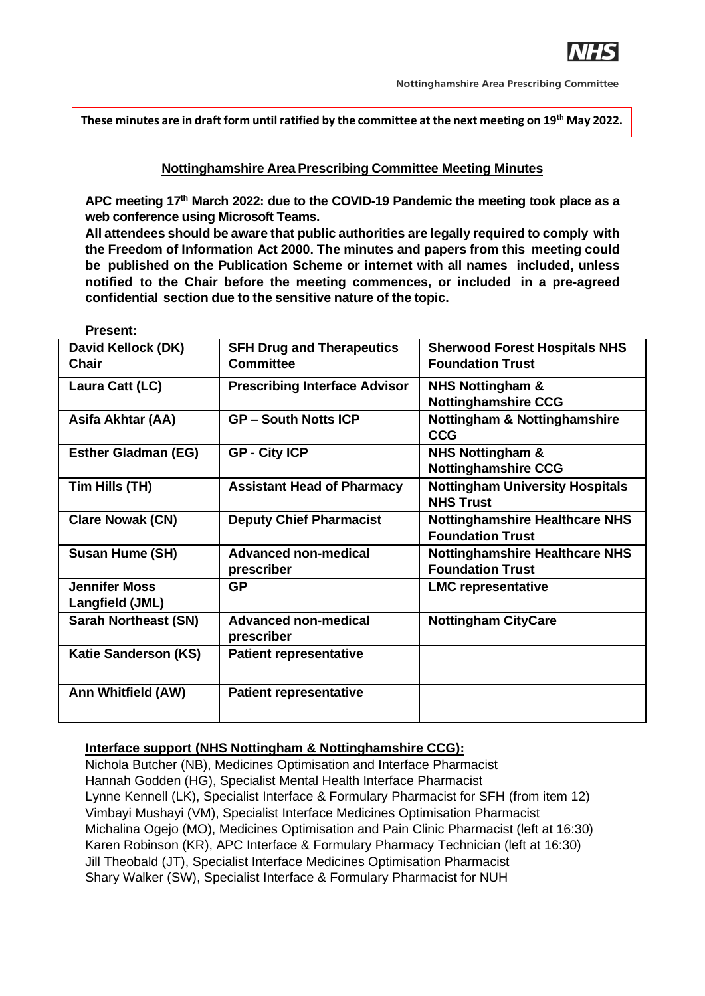

**These minutes are in draft form until ratified by the committee at the next meeting on 19th May 2022.**

#### **Nottinghamshire Area Prescribing Committee Meeting Minutes**

**APC meeting 17th March 2022: due to the COVID-19 Pandemic the meeting took place as a web conference using Microsoft Teams.**

**All attendees should be aware that public authorities are legally required to comply with the Freedom of Information Act 2000. The minutes and papers from this meeting could be published on the Publication Scheme or internet with all names included, unless notified to the Chair before the meeting commences, or included in a pre-agreed confidential section due to the sensitive nature of the topic.**

| David Kellock (DK)<br>Chair             | <b>SFH Drug and Therapeutics</b><br><b>Committee</b> | <b>Sherwood Forest Hospitals NHS</b><br><b>Foundation Trust</b>  |
|-----------------------------------------|------------------------------------------------------|------------------------------------------------------------------|
| Laura Catt (LC)                         | <b>Prescribing Interface Advisor</b>                 | <b>NHS Nottingham &amp;</b><br><b>Nottinghamshire CCG</b>        |
| Asifa Akhtar (AA)                       | <b>GP-South Notts ICP</b>                            | <b>Nottingham &amp; Nottinghamshire</b><br><b>CCG</b>            |
| <b>Esther Gladman (EG)</b>              | <b>GP - City ICP</b>                                 | <b>NHS Nottingham &amp;</b><br><b>Nottinghamshire CCG</b>        |
| Tim Hills (TH)                          | <b>Assistant Head of Pharmacy</b>                    | <b>Nottingham University Hospitals</b><br><b>NHS Trust</b>       |
| <b>Clare Nowak (CN)</b>                 | <b>Deputy Chief Pharmacist</b>                       | <b>Nottinghamshire Healthcare NHS</b><br><b>Foundation Trust</b> |
| <b>Susan Hume (SH)</b>                  | <b>Advanced non-medical</b><br>prescriber            | <b>Nottinghamshire Healthcare NHS</b><br><b>Foundation Trust</b> |
| <b>Jennifer Moss</b><br>Langfield (JML) | <b>GP</b>                                            | <b>LMC representative</b>                                        |
| <b>Sarah Northeast (SN)</b>             | <b>Advanced non-medical</b><br>prescriber            | <b>Nottingham CityCare</b>                                       |
| <b>Katie Sanderson (KS)</b>             | <b>Patient representative</b>                        |                                                                  |
| Ann Whitfield (AW)                      | <b>Patient representative</b>                        |                                                                  |

# **Present:**

#### **Interface support (NHS Nottingham & Nottinghamshire CCG):**

Nichola Butcher (NB), Medicines Optimisation and Interface Pharmacist Hannah Godden (HG), Specialist Mental Health Interface Pharmacist Lynne Kennell (LK), Specialist Interface & Formulary Pharmacist for SFH (from item 12) Vimbayi Mushayi (VM), Specialist Interface Medicines Optimisation Pharmacist Michalina Ogejo (MO), Medicines Optimisation and Pain Clinic Pharmacist (left at 16:30) Karen Robinson (KR), APC Interface & Formulary Pharmacy Technician (left at 16:30) Jill Theobald (JT), Specialist Interface Medicines Optimisation Pharmacist Shary Walker (SW), Specialist Interface & Formulary Pharmacist for NUH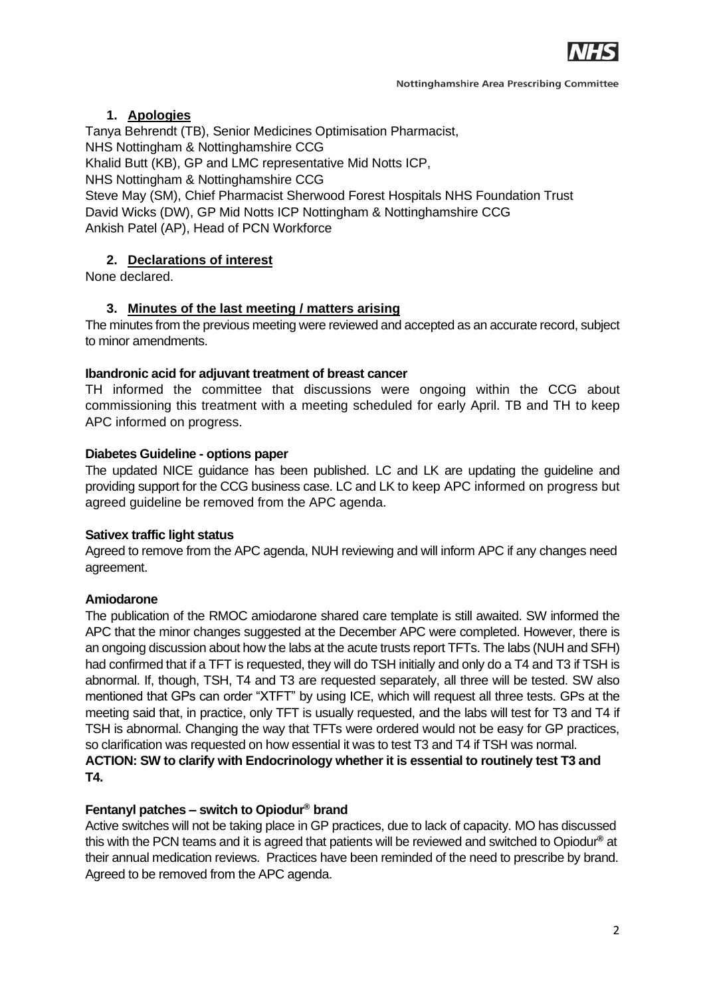

# **1. Apologies**

Tanya Behrendt (TB), Senior Medicines Optimisation Pharmacist, NHS Nottingham & Nottinghamshire CCG

Khalid Butt (KB), GP and LMC representative Mid Notts ICP,

NHS Nottingham & Nottinghamshire CCG

Steve May (SM), Chief Pharmacist Sherwood Forest Hospitals NHS Foundation Trust David Wicks (DW), GP Mid Notts ICP Nottingham & Nottinghamshire CCG Ankish Patel (AP), Head of PCN Workforce

# **2. Declarations of interest**

None declared.

# **3. Minutes of the last meeting / matters arising**

The minutes from the previous meeting were reviewed and accepted as an accurate record, subject to minor amendments.

### **Ibandronic acid for adjuvant treatment of breast cancer**

TH informed the committee that discussions were ongoing within the CCG about commissioning this treatment with a meeting scheduled for early April. TB and TH to keep APC informed on progress.

## **Diabetes Guideline - options paper**

The updated NICE guidance has been published. LC and LK are updating the guideline and providing support for the CCG business case. LC and LK to keep APC informed on progress but agreed guideline be removed from the APC agenda.

### **Sativex traffic light status**

Agreed to remove from the APC agenda, NUH reviewing and will inform APC if any changes need agreement.

# **Amiodarone**

The publication of the RMOC amiodarone shared care template is still awaited. SW informed the APC that the minor changes suggested at the December APC were completed. However, there is an ongoing discussion about how the labs at the acute trusts report TFTs. The labs (NUH and SFH) had confirmed that if a TFT is requested, they will do TSH initially and only do a T4 and T3 if TSH is abnormal. If, though, TSH, T4 and T3 are requested separately, all three will be tested. SW also mentioned that GPs can order "XTFT" by using ICE, which will request all three tests. GPs at the meeting said that, in practice, only TFT is usually requested, and the labs will test for T3 and T4 if TSH is abnormal. Changing the way that TFTs were ordered would not be easy for GP practices, so clarification was requested on how essential it was to test T3 and T4 if TSH was normal. **ACTION: SW to clarify with Endocrinology whether it is essential to routinely test T3 and T4.**

### **Fentanyl patches – switch to Opiodur® brand**

Active switches will not be taking place in GP practices, due to lack of capacity. MO has discussed this with the PCN teams and it is agreed that patients will be reviewed and switched to Opiodur**®** at their annual medication reviews. Practices have been reminded of the need to prescribe by brand. Agreed to be removed from the APC agenda.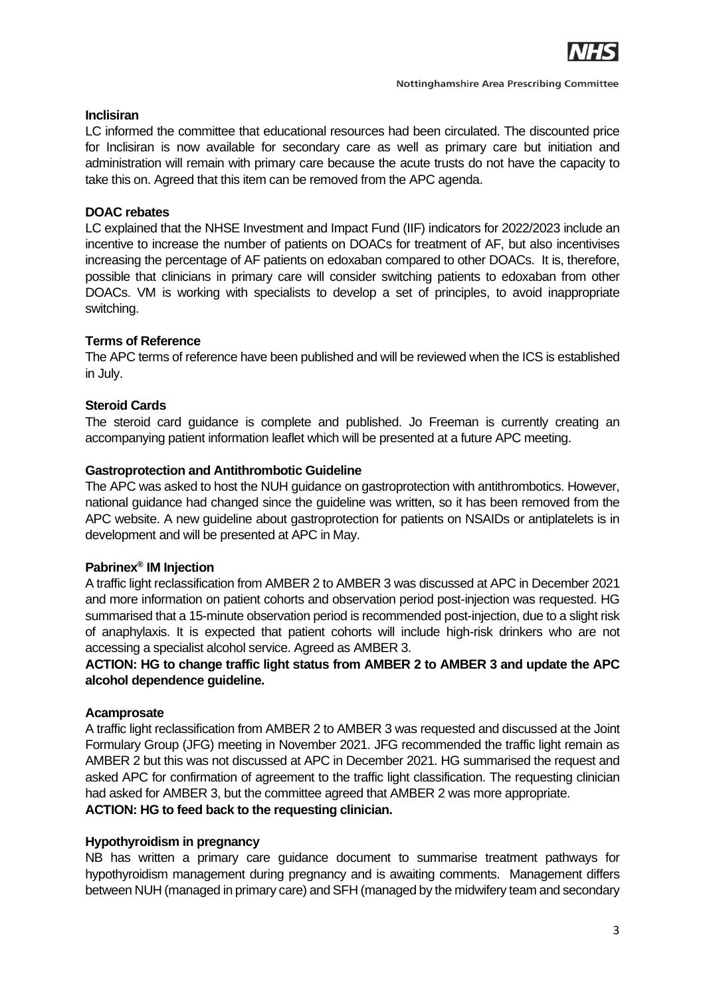

### **Inclisiran**

LC informed the committee that educational resources had been circulated. The discounted price for Inclisiran is now available for secondary care as well as primary care but initiation and administration will remain with primary care because the acute trusts do not have the capacity to take this on. Agreed that this item can be removed from the APC agenda.

### **DOAC rebates**

LC explained that the NHSE Investment and Impact Fund (IIF) indicators for 2022/2023 include an incentive to increase the number of patients on DOACs for treatment of AF, but also incentivises increasing the percentage of AF patients on edoxaban compared to other DOACs. It is, therefore, possible that clinicians in primary care will consider switching patients to edoxaban from other DOACs. VM is working with specialists to develop a set of principles, to avoid inappropriate switching.

## **Terms of Reference**

The APC terms of reference have been published and will be reviewed when the ICS is established in July.

## **Steroid Cards**

The steroid card guidance is complete and published. Jo Freeman is currently creating an accompanying patient information leaflet which will be presented at a future APC meeting.

### **Gastroprotection and Antithrombotic Guideline**

The APC was asked to host the NUH guidance on gastroprotection with antithrombotics. However, national guidance had changed since the guideline was written, so it has been removed from the APC website. A new guideline about gastroprotection for patients on NSAIDs or antiplatelets is in development and will be presented at APC in May.

### **Pabrinex® IM Injection**

A traffic light reclassification from AMBER 2 to AMBER 3 was discussed at APC in December 2021 and more information on patient cohorts and observation period post-injection was requested. HG summarised that a 15-minute observation period is recommended post-injection, due to a slight risk of anaphylaxis. It is expected that patient cohorts will include high-risk drinkers who are not accessing a specialist alcohol service. Agreed as AMBER 3.

### **ACTION: HG to change traffic light status from AMBER 2 to AMBER 3 and update the APC alcohol dependence guideline.**

### **Acamprosate**

A traffic light reclassification from AMBER 2 to AMBER 3 was requested and discussed at the Joint Formulary Group (JFG) meeting in November 2021. JFG recommended the traffic light remain as AMBER 2 but this was not discussed at APC in December 2021. HG summarised the request and asked APC for confirmation of agreement to the traffic light classification. The requesting clinician had asked for AMBER 3, but the committee agreed that AMBER 2 was more appropriate. **ACTION: HG to feed back to the requesting clinician.**

### **Hypothyroidism in pregnancy**

NB has written a primary care guidance document to summarise treatment pathways for hypothyroidism management during pregnancy and is awaiting comments. Management differs between NUH (managed in primary care) and SFH (managed by the midwifery team and secondary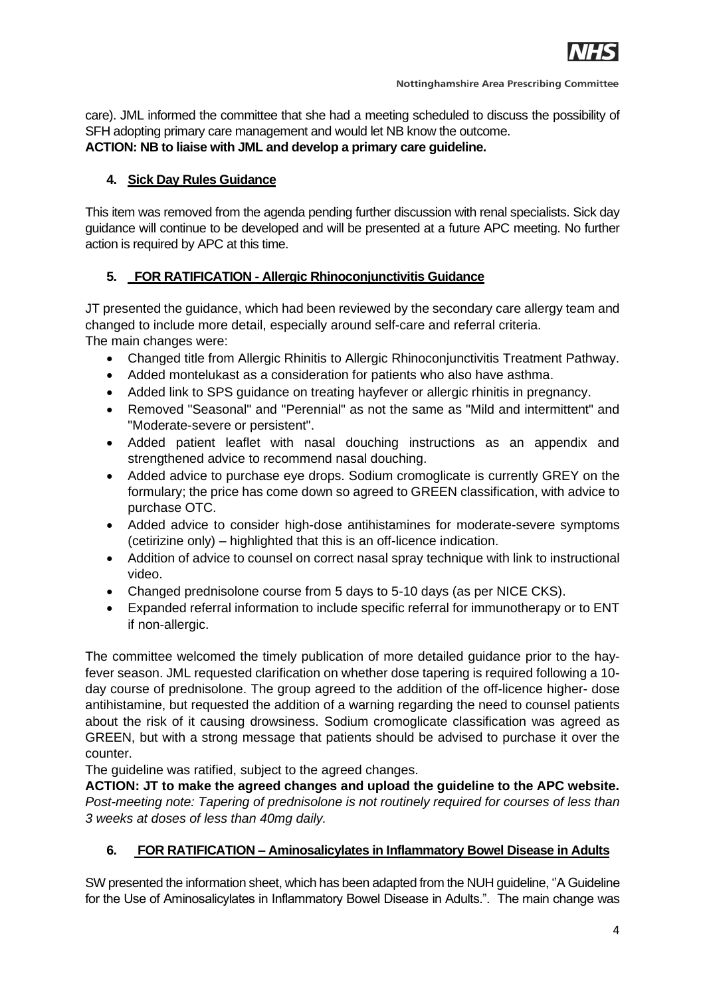

care). JML informed the committee that she had a meeting scheduled to discuss the possibility of SFH adopting primary care management and would let NB know the outcome. **ACTION: NB to liaise with JML and develop a primary care guideline.**

### **4. Sick Day Rules Guidance**

This item was removed from the agenda pending further discussion with renal specialists. Sick day guidance will continue to be developed and will be presented at a future APC meeting. No further action is required by APC at this time.

# **5. FOR RATIFICATION - Allergic Rhinoconjunctivitis Guidance**

JT presented the guidance, which had been reviewed by the secondary care allergy team and changed to include more detail, especially around self-care and referral criteria. The main changes were:

- Changed title from Allergic Rhinitis to Allergic Rhinoconjunctivitis Treatment Pathway.
- Added montelukast as a consideration for patients who also have asthma.
- Added link to SPS guidance on treating hayfever or allergic rhinitis in pregnancy.
- Removed "Seasonal" and "Perennial" as not the same as "Mild and intermittent" and "Moderate-severe or persistent".
- Added patient leaflet with nasal douching instructions as an appendix and strengthened advice to recommend nasal douching.
- Added advice to purchase eve drops. Sodium cromoglicate is currently GREY on the formulary; the price has come down so agreed to GREEN classification, with advice to purchase OTC.
- Added advice to consider high-dose antihistamines for moderate-severe symptoms (cetirizine only) – highlighted that this is an off-licence indication.
- Addition of advice to counsel on correct nasal spray technique with link to instructional video.
- Changed prednisolone course from 5 days to 5-10 days (as per NICE CKS).
- Expanded referral information to include specific referral for immunotherapy or to ENT if non-allergic.

The committee welcomed the timely publication of more detailed guidance prior to the hayfever season. JML requested clarification on whether dose tapering is required following a 10 day course of prednisolone. The group agreed to the addition of the off-licence higher- dose antihistamine, but requested the addition of a warning regarding the need to counsel patients about the risk of it causing drowsiness. Sodium cromoglicate classification was agreed as GREEN, but with a strong message that patients should be advised to purchase it over the counter.

The guideline was ratified, subject to the agreed changes.

**ACTION: JT to make the agreed changes and upload the guideline to the APC website.** *Post-meeting note: Tapering of prednisolone is not routinely required for courses of less than 3 weeks at doses of less than 40mg daily.*

# **6. FOR RATIFICATION – Aminosalicylates in Inflammatory Bowel Disease in Adults**

SW presented the information sheet, which has been adapted from the NUH guideline, ''A Guideline for the Use of Aminosalicylates in Inflammatory Bowel Disease in Adults.". The main change was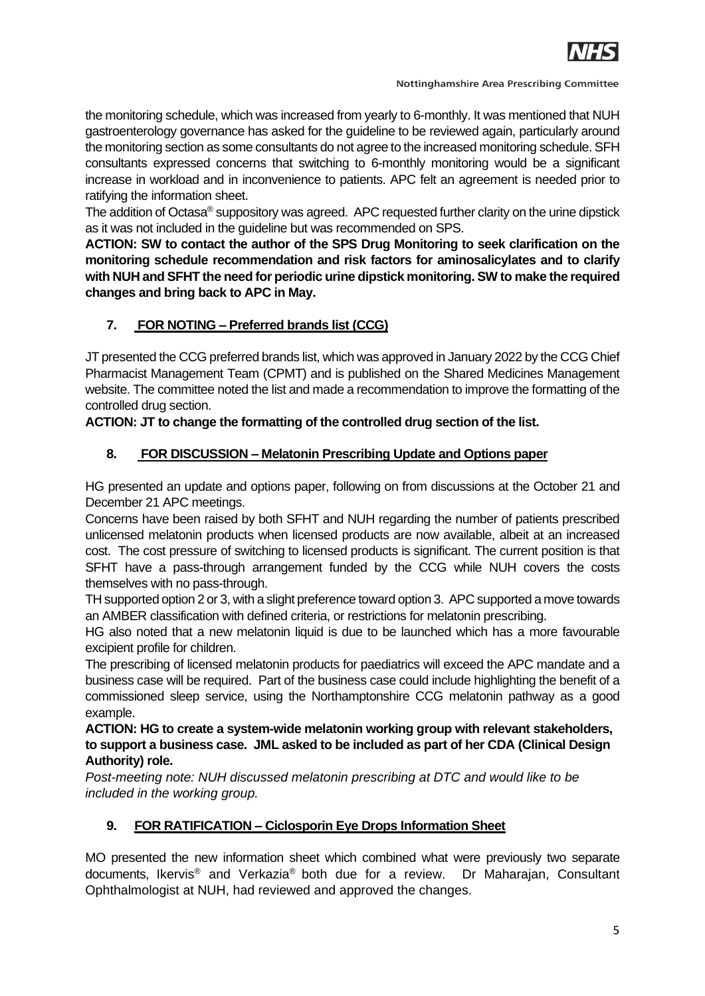

the monitoring schedule, which was increased from yearly to 6-monthly. It was mentioned that NUH gastroenterology governance has asked for the guideline to be reviewed again, particularly around the monitoring section as some consultants do not agree to the increased monitoring schedule. SFH consultants expressed concerns that switching to 6-monthly monitoring would be a significant increase in workload and in inconvenience to patients. APC felt an agreement is needed prior to ratifying the information sheet.

The addition of Octasa<sup>®</sup> suppository was agreed. APC requested further clarity on the urine dipstick as it was not included in the guideline but was recommended on SPS.

**ACTION: SW to contact the author of the SPS Drug Monitoring to seek clarification on the monitoring schedule recommendation and risk factors for aminosalicylates and to clarify with NUH and SFHT the need for periodic urine dipstick monitoring. SW to make the required changes and bring back to APC in May.**

# **7. FOR NOTING – Preferred brands list (CCG)**

JT presented the CCG preferred brands list, which was approved in January 2022 by the CCG Chief Pharmacist Management Team (CPMT) and is published on the Shared Medicines Management website. The committee noted the list and made a recommendation to improve the formatting of the controlled drug section.

# **ACTION: JT to change the formatting of the controlled drug section of the list.**

# **8. FOR DISCUSSION – Melatonin Prescribing Update and Options paper**

HG presented an update and options paper, following on from discussions at the October 21 and December 21 APC meetings.

Concerns have been raised by both SFHT and NUH regarding the number of patients prescribed unlicensed melatonin products when licensed products are now available, albeit at an increased cost. The cost pressure of switching to licensed products is significant. The current position is that SFHT have a pass-through arrangement funded by the CCG while NUH covers the costs themselves with no pass-through.

TH supported option 2 or 3, with a slight preference toward option 3. APC supported a move towards an AMBER classification with defined criteria, or restrictions for melatonin prescribing.

HG also noted that a new melatonin liquid is due to be launched which has a more favourable excipient profile for children.

The prescribing of licensed melatonin products for paediatrics will exceed the APC mandate and a business case will be required. Part of the business case could include highlighting the benefit of a commissioned sleep service, using the Northamptonshire CCG melatonin pathway as a good example.

**ACTION: HG to create a system-wide melatonin working group with relevant stakeholders, to support a business case. JML asked to be included as part of her CDA (Clinical Design Authority) role.**

*Post-meeting note: NUH discussed melatonin prescribing at DTC and would like to be included in the working group.*

# **9. FOR RATIFICATION – Ciclosporin Eye Drops Information Sheet**

MO presented the new information sheet which combined what were previously two separate documents, Ikervis® and Verkazia® both due for a review. Dr Maharajan, Consultant Ophthalmologist at NUH, had reviewed and approved the changes.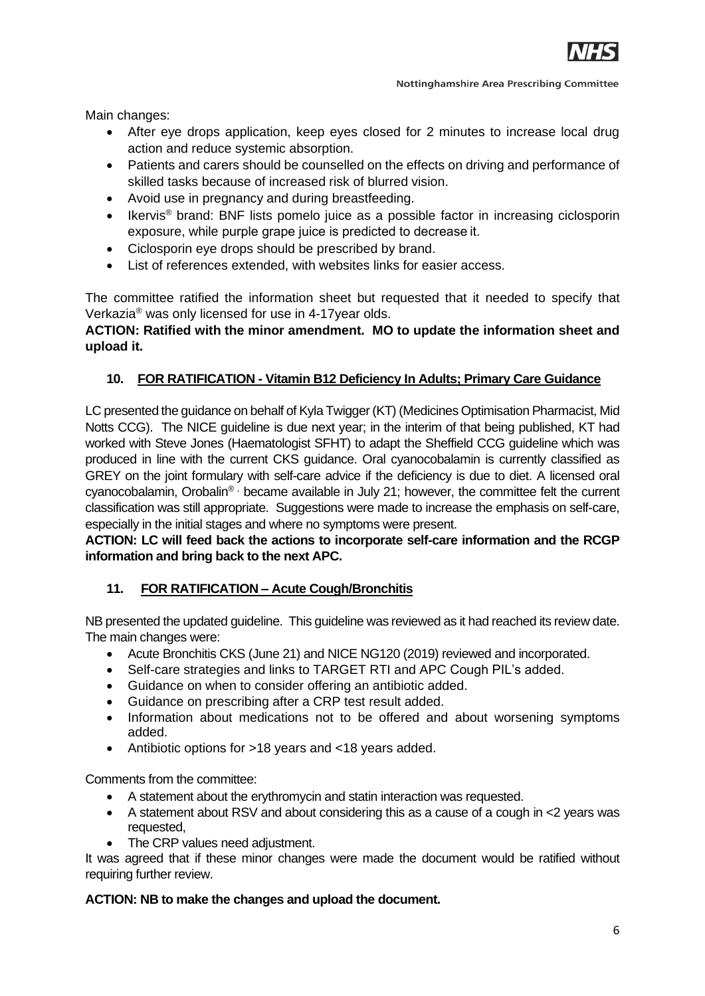

Main changes:

- After eye drops application, keep eyes closed for 2 minutes to increase local drug action and reduce systemic absorption.
- Patients and carers should be counselled on the effects on driving and performance of skilled tasks because of increased risk of blurred vision.
- Avoid use in pregnancy and during breastfeeding.
- Ikervis<sup>®</sup> brand: BNF lists pomelo juice as a possible factor in increasing ciclosporin exposure, while purple grape juice is predicted to decrease it.
- Ciclosporin eye drops should be prescribed by brand.
- List of references extended, with websites links for easier access.

The committee ratified the information sheet but requested that it needed to specify that Verkazia® was only licensed for use in 4-17year olds.

# **ACTION: Ratified with the minor amendment. MO to update the information sheet and upload it.**

# **10. FOR RATIFICATION - Vitamin B12 Deficiency In Adults; Primary Care Guidance**

LC presented the guidance on behalf of Kyla Twigger (KT) (Medicines Optimisation Pharmacist, Mid Notts CCG). The NICE guideline is due next year; in the interim of that being published, KT had worked with Steve Jones (Haematologist SFHT) to adapt the Sheffield CCG guideline which was produced in line with the current CKS guidance. Oral cyanocobalamin is currently classified as GREY on the joint formulary with self-care advice if the deficiency is due to diet. A licensed oral cyanocobalamin, Orobalin® , became available in July 21; however, the committee felt the current classification was still appropriate. Suggestions were made to increase the emphasis on self-care, especially in the initial stages and where no symptoms were present.

## **ACTION: LC will feed back the actions to incorporate self-care information and the RCGP information and bring back to the next APC.**

### **11. FOR RATIFICATION – Acute Cough/Bronchitis**

NB presented the updated guideline. This guideline was reviewed as it had reached its review date. The main changes were:

- Acute Bronchitis CKS (June 21) and NICE NG120 (2019) reviewed and incorporated.
- Self-care strategies and links to TARGET RTI and APC Cough PIL's added.
- Guidance on when to consider offering an antibiotic added.
- Guidance on prescribing after a CRP test result added.
- Information about medications not to be offered and about worsening symptoms added.
- Antibiotic options for >18 years and <18 years added.

Comments from the committee:

- A statement about the erythromycin and statin interaction was requested.
- A statement about RSV and about considering this as a cause of a cough in <2 years was requested,
- The CRP values need adjustment.

It was agreed that if these minor changes were made the document would be ratified without requiring further review.

### **ACTION: NB to make the changes and upload the document.**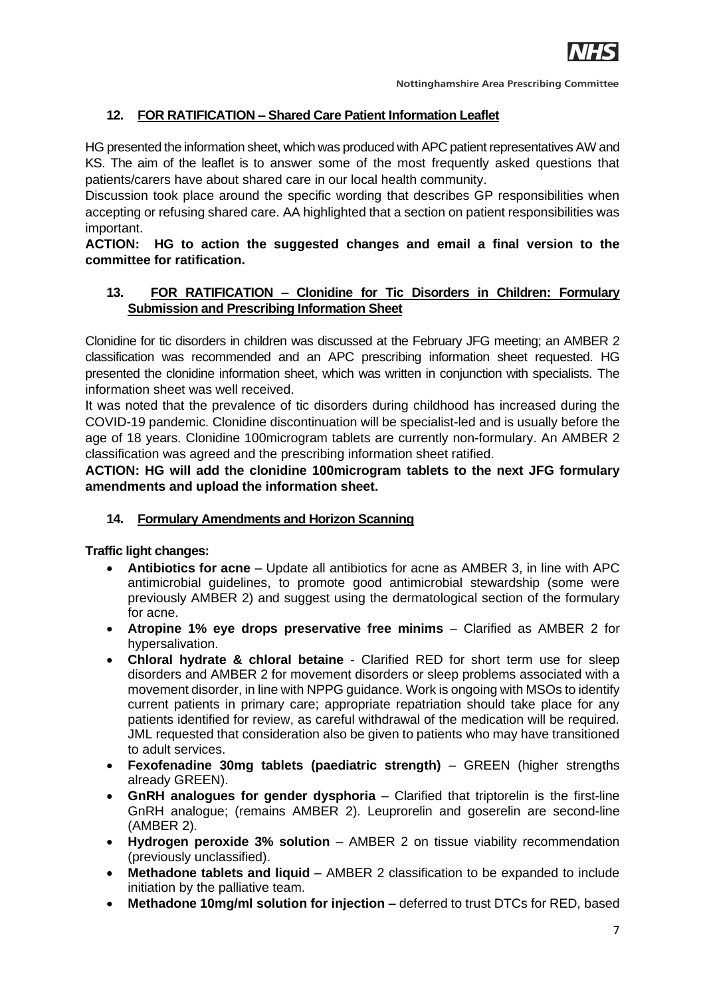

# **12. FOR RATIFICATION – Shared Care Patient Information Leaflet**

HG presented the information sheet, which was produced with APC patient representatives AW and KS. The aim of the leaflet is to answer some of the most frequently asked questions that patients/carers have about shared care in our local health community.

Discussion took place around the specific wording that describes GP responsibilities when accepting or refusing shared care. AA highlighted that a section on patient responsibilities was important.

### **ACTION: HG to action the suggested changes and email a final version to the committee for ratification.**

## **13. FOR RATIFICATION – Clonidine for Tic Disorders in Children: Formulary Submission and Prescribing Information Sheet**

Clonidine for tic disorders in children was discussed at the February JFG meeting; an AMBER 2 classification was recommended and an APC prescribing information sheet requested. HG presented the clonidine information sheet, which was written in conjunction with specialists. The information sheet was well received.

It was noted that the prevalence of tic disorders during childhood has increased during the COVID-19 pandemic. Clonidine discontinuation will be specialist-led and is usually before the age of 18 years. Clonidine 100microgram tablets are currently non-formulary. An AMBER 2 classification was agreed and the prescribing information sheet ratified.

**ACTION: HG will add the clonidine 100microgram tablets to the next JFG formulary amendments and upload the information sheet.**

### **14. Formulary Amendments and Horizon Scanning**

**Traffic light changes:**

- **Antibiotics for acne** Update all antibiotics for acne as AMBER 3, in line with APC antimicrobial guidelines, to promote good antimicrobial stewardship (some were previously AMBER 2) and suggest using the dermatological section of the formulary for acne.
- **Atropine 1% eye drops preservative free minims**  Clarified as AMBER 2 for hypersalivation.
- **Chloral hydrate & chloral betaine** Clarified RED for short term use for sleep disorders and AMBER 2 for movement disorders or sleep problems associated with a movement disorder, in line with NPPG guidance. Work is ongoing with MSOs to identify current patients in primary care; appropriate repatriation should take place for any patients identified for review, as careful withdrawal of the medication will be required. JML requested that consideration also be given to patients who may have transitioned to adult services.
- **Fexofenadine 30mg tablets (paediatric strength)** GREEN (higher strengths already GREEN).
- **GnRH analogues for gender dysphoria** Clarified that triptorelin is the first-line GnRH analogue; (remains AMBER 2). Leuprorelin and goserelin are second-line (AMBER 2).
- **Hydrogen peroxide 3% solution** AMBER 2 on tissue viability recommendation (previously unclassified).
- **Methadone tablets and liquid** AMBER 2 classification to be expanded to include initiation by the palliative team.
- **Methadone 10mg/ml solution for injection –** deferred to trust DTCs for RED, based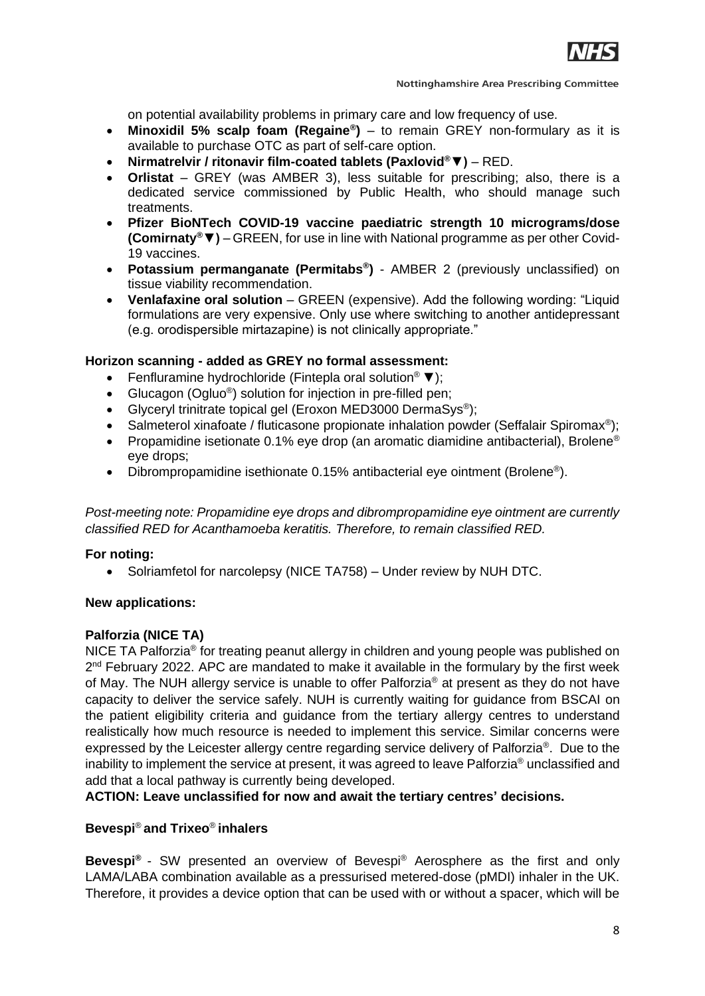

**Nottinghamshire Area Prescribing Committee** 

on potential availability problems in primary care and low frequency of use.

- **Minoxidil 5% scalp foam (Regaine® )** to remain GREY non-formulary as it is available to purchase OTC as part of self-care option.
- **Nirmatrelvir / ritonavir film-coated tablets (Paxlovid®▼)**  RED.
- **Orlistat** GREY (was AMBER 3), less suitable for prescribing; also, there is a dedicated service commissioned by Public Health, who should manage such treatments.
- **Pfizer BioNTech COVID-19 vaccine paediatric strength 10 micrograms/dose (Comirnaty®▼)** – GREEN, for use in line with National programme as per other Covid-19 vaccines.
- **Potassium permanganate (Permitabs® )** AMBER 2 (previously unclassified) on tissue viability recommendation.
- **Venlafaxine oral solution** GREEN (expensive). Add the following wording: "Liquid formulations are very expensive. Only use where switching to another antidepressant (e.g. orodispersible mirtazapine) is not clinically appropriate."

#### **Horizon scanning - added as GREY no formal assessment:**

- Fenfluramine hydrochloride (Fintepla oral solution® ▼);
- Glucagon (Ogluo<sup>®</sup>) solution for injection in pre-filled pen;
- Glyceryl trinitrate topical gel (Eroxon MED3000 DermaSys®);
- Salmeterol xinafoate / fluticasone propionate inhalation powder (Seffalair Spiromax<sup>®</sup>);
- Propamidine isetionate 0.1% eye drop (an aromatic diamidine antibacterial), Brolene<sup>®</sup> eye drops;
- Dibrompropamidine isethionate 0.15% antibacterial eye ointment (Brolene<sup>®</sup>).

*Post-meeting note: Propamidine eye drops and dibrompropamidine eye ointment are currently classified RED for Acanthamoeba keratitis. Therefore, to remain classified RED.*

#### **For noting:**

• Solriamfetol for narcolepsy (NICE TA758) – Under review by NUH DTC.

#### **New applications:**

#### **Palforzia (NICE TA)**

NICE TA Palforzia® for treating peanut allergy in children and young people was published on 2<sup>nd</sup> February 2022. APC are mandated to make it available in the formulary by the first week of May. The NUH allergy service is unable to offer Palforzia® at present as they do not have capacity to deliver the service safely. NUH is currently waiting for guidance from BSCAI on the patient eligibility criteria and guidance from the tertiary allergy centres to understand realistically how much resource is needed to implement this service. Similar concerns were expressed by the Leicester allergy centre regarding service delivery of Palforzia®. Due to the inability to implement the service at present, it was agreed to leave Palforzia® unclassified and add that a local pathway is currently being developed.

**ACTION: Leave unclassified for now and await the tertiary centres' decisions.** 

## **Bevespi**® **and Trixeo**® **inhalers**

**Bevespi®** - SW presented an overview of Bevespi® Aerosphere as the first and only LAMA/LABA combination available as a pressurised metered-dose (pMDI) inhaler in the UK. Therefore, it provides a device option that can be used with or without a spacer, which will be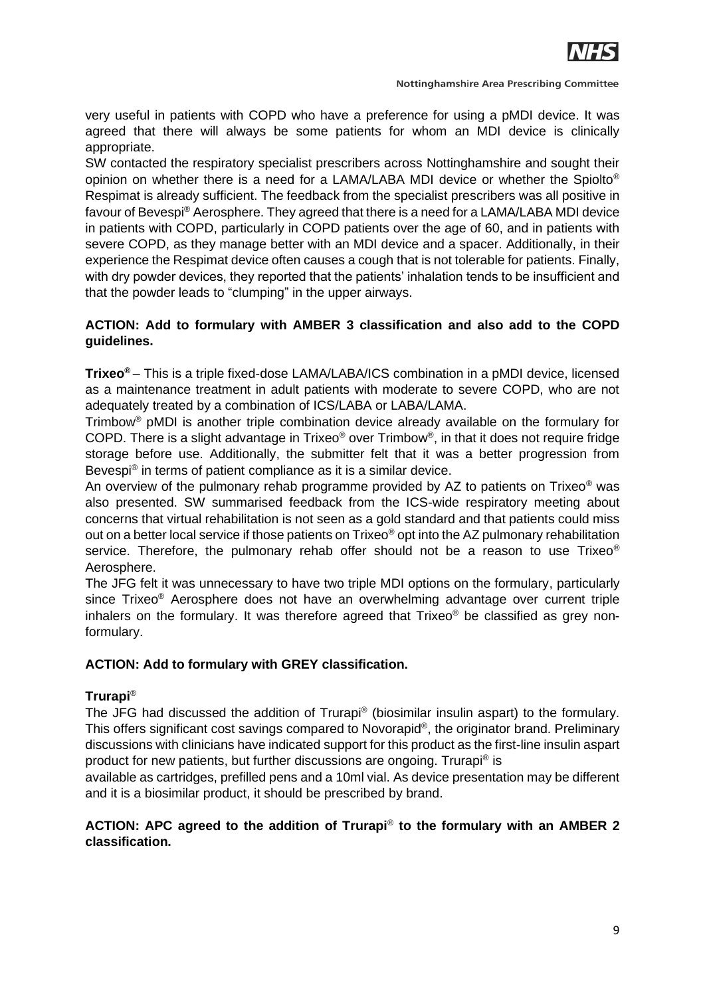

**Nottinghamshire Area Prescribing Committee** 

very useful in patients with COPD who have a preference for using a pMDI device. It was agreed that there will always be some patients for whom an MDI device is clinically appropriate.

SW contacted the respiratory specialist prescribers across Nottinghamshire and sought their opinion on whether there is a need for a LAMA/LABA MDI device or whether the Spiolto® Respimat is already sufficient. The feedback from the specialist prescribers was all positive in favour of Bevespi® Aerosphere. They agreed that there is a need for a LAMA/LABA MDI device in patients with COPD, particularly in COPD patients over the age of 60, and in patients with severe COPD, as they manage better with an MDI device and a spacer. Additionally, in their experience the Respimat device often causes a cough that is not tolerable for patients. Finally, with dry powder devices, they reported that the patients' inhalation tends to be insufficient and that the powder leads to "clumping" in the upper airways.

# **ACTION: Add to formulary with AMBER 3 classification and also add to the COPD guidelines.**

**Trixeo®** – This is a triple fixed-dose LAMA/LABA/ICS combination in a pMDI device, licensed as a maintenance treatment in adult patients with moderate to severe COPD, who are not adequately treated by a combination of ICS/LABA or LABA/LAMA.

Trimbow® pMDI is another triple combination device already available on the formulary for COPD. There is a slight advantage in Trixeo<sup>®</sup> over Trimbow<sup>®</sup>, in that it does not require fridge storage before use. Additionally, the submitter felt that it was a better progression from Bevespi® in terms of patient compliance as it is a similar device.

An overview of the pulmonary rehab programme provided by AZ to patients on Trixeo<sup>®</sup> was also presented. SW summarised feedback from the ICS-wide respiratory meeting about concerns that virtual rehabilitation is not seen as a gold standard and that patients could miss out on a better local service if those patients on Trixeo® opt into the AZ pulmonary rehabilitation service. Therefore, the pulmonary rehab offer should not be a reason to use Trixeo<sup>®</sup> Aerosphere.

The JFG felt it was unnecessary to have two triple MDI options on the formulary, particularly since Trixeo® Aerosphere does not have an overwhelming advantage over current triple inhalers on the formulary. It was therefore agreed that Trixeo<sup>®</sup> be classified as grey nonformulary.

# **ACTION: Add to formulary with GREY classification.**

# **Trurapi**®

The JFG had discussed the addition of Trurapi® (biosimilar insulin aspart) to the formulary. This offers significant cost savings compared to Novorapid®, the originator brand. Preliminary discussions with clinicians have indicated support for this product as the first-line insulin aspart product for new patients, but further discussions are ongoing. Trurapi® is

available as cartridges, prefilled pens and a 10ml vial. As device presentation may be different and it is a biosimilar product, it should be prescribed by brand.

## **ACTION: APC agreed to the addition of Trurapi**® **to the formulary with an AMBER 2 classification.**